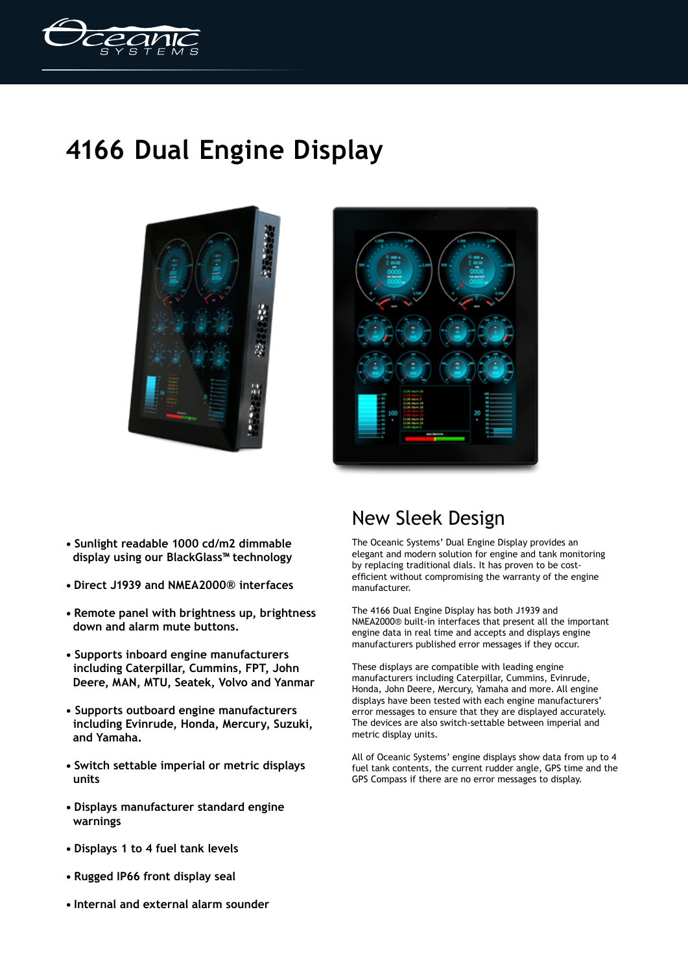

## **4166 Dual Engine Display**





- **Sunlight readable 1000 cd/m2 dimmable display using our BlackGlass™ technology**
- **Direct J1939 and NMEA2000® interfaces**
- **Remote panel with brightness up, brightness down and alarm mute buttons.**
- **Supports inboard engine manufacturers including Caterpillar, Cummins, FPT, John Deere, MAN, MTU, Seatek, Volvo and Yanmar**
- **Supports outboard engine manufacturers including Evinrude, Honda, Mercury, Suzuki, and Yamaha.**
- **Switch settable imperial or metric displays units**
- **Displays manufacturer standard engine warnings**
- **Displays 1 to 4 fuel tank levels**
- **Rugged IP66 front display seal**
- **Internal and external alarm sounder**

## New Sleek Design

The Oceanic Systems' Dual Engine Display provides an elegant and modern solution for engine and tank monitoring by replacing traditional dials. It has proven to be costefficient without compromising the warranty of the engine manufacturer.

The 4166 Dual Engine Display has both J1939 and NMEA2000® built-in interfaces that present all the important engine data in real time and accepts and displays engine manufacturers published error messages if they occur.

These displays are compatible with leading engine manufacturers including Caterpillar, Cummins, Evinrude, Honda, John Deere, Mercury, Yamaha and more. All engine displays have been tested with each engine manufacturers' error messages to ensure that they are displayed accurately. The devices are also switch-settable between imperial and metric display units.

All of Oceanic Systems' engine displays show data from up to 4 fuel tank contents, the current rudder angle, GPS time and the GPS Compass if there are no error messages to display.